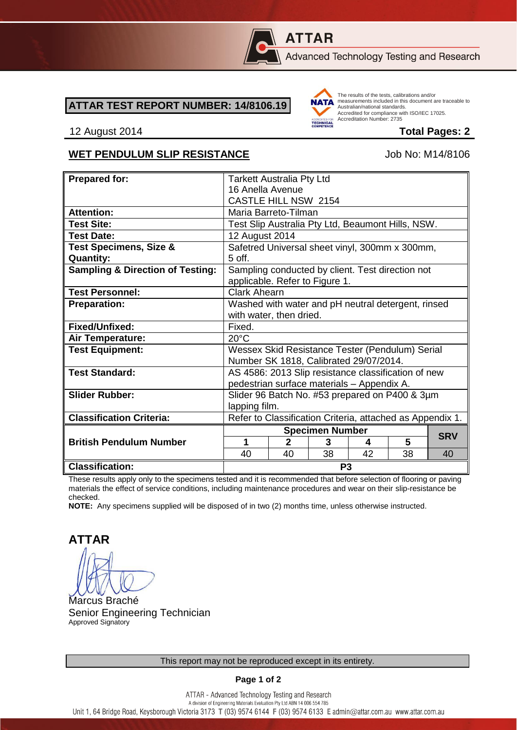

# **ATTAR**

Advanced Technology Testing and Research

#### **ATTAR TEST REPORT NUMBER: 14/8106.19**



The results of the tests, calibrations and/or measurements included in this document are traceable to Australian/national standards. Adstrational Miditional Standards:<br>Accredited for compliance with ISO/IEC 17025. Accreditation Number: 2735

#### 12 August 2014 **Total Pages: 2**

### WET PENDULUM SLIP RESISTANCE Job No: M14/8106

| <b>Prepared for:</b>                        | <b>Tarkett Australia Pty Ltd</b>                          |                        |    |    |            |    |
|---------------------------------------------|-----------------------------------------------------------|------------------------|----|----|------------|----|
|                                             | 16 Anella Avenue                                          |                        |    |    |            |    |
|                                             | CASTLE HILL NSW 2154                                      |                        |    |    |            |    |
| <b>Attention:</b>                           | Maria Barreto-Tilman                                      |                        |    |    |            |    |
|                                             |                                                           |                        |    |    |            |    |
| <b>Test Site:</b>                           | Test Slip Australia Pty Ltd, Beaumont Hills, NSW.         |                        |    |    |            |    |
| <b>Test Date:</b>                           | 12 August 2014                                            |                        |    |    |            |    |
| <b>Test Specimens, Size &amp;</b>           | Safetred Universal sheet vinyl, 300mm x 300mm,            |                        |    |    |            |    |
| <b>Quantity:</b>                            | 5 off.                                                    |                        |    |    |            |    |
| <b>Sampling &amp; Direction of Testing:</b> | Sampling conducted by client. Test direction not          |                        |    |    |            |    |
|                                             | applicable. Refer to Figure 1.                            |                        |    |    |            |    |
| <b>Test Personnel:</b>                      | <b>Clark Ahearn</b>                                       |                        |    |    |            |    |
| <b>Preparation:</b>                         | Washed with water and pH neutral detergent, rinsed        |                        |    |    |            |    |
|                                             | with water, then dried.                                   |                        |    |    |            |    |
| Fixed/Unfixed:                              | Fixed.                                                    |                        |    |    |            |    |
| Air Temperature:                            | $20^{\circ}$ C                                            |                        |    |    |            |    |
| <b>Test Equipment:</b>                      | Wessex Skid Resistance Tester (Pendulum) Serial           |                        |    |    |            |    |
|                                             | Number SK 1818, Calibrated 29/07/2014.                    |                        |    |    |            |    |
| <b>Test Standard:</b>                       | AS 4586: 2013 Slip resistance classification of new       |                        |    |    |            |    |
|                                             | pedestrian surface materials - Appendix A.                |                        |    |    |            |    |
| <b>Slider Rubber:</b>                       | Slider 96 Batch No. #53 prepared on P400 & 3µm            |                        |    |    |            |    |
|                                             | lapping film.                                             |                        |    |    |            |    |
| <b>Classification Criteria:</b>             | Refer to Classification Criteria, attached as Appendix 1. |                        |    |    |            |    |
|                                             |                                                           |                        |    |    |            |    |
|                                             |                                                           | <b>Specimen Number</b> |    |    | <b>SRV</b> |    |
| <b>British Pendulum Number</b>              | 1                                                         | $\mathbf{2}$           | 3  | 4  | 5          |    |
|                                             | 40                                                        | 40                     | 38 | 42 | 38         | 40 |
| <b>Classification:</b>                      | P <sub>3</sub>                                            |                        |    |    |            |    |

These results apply only to the specimens tested and it is recommended that before selection of flooring or paving materials the effect of service conditions, including maintenance procedures and wear on their slip-resistance be checked.

**NOTE:** Any specimens supplied will be disposed of in two (2) months time, unless otherwise instructed.

**ATTAR**

Marcus Braché Senior Engineering Technician Approved Signatory

**Page 1 of 2**